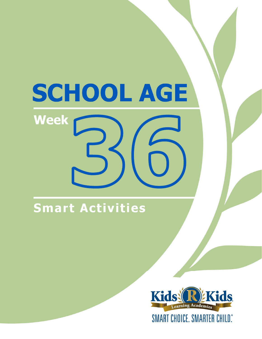## **Smart Activities**

**Week** 

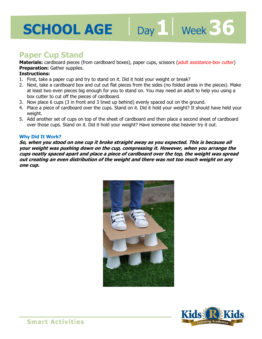## Day 1 Week 36

### **Paper Cup Stand**

**Materials:** cardboard pieces (from cardboard boxes), paper cups, scissors (adult assistance-box cutter) **Preparation:** Gather supplies.

#### **Instructions:**

- 1. First, take a paper cup and try to stand on it. Did it hold your weight or break?
- **Freparation:** Gather supplies.<br>**Instructions:**<br>1. First, take a paper cup and try to stand on it. Did it hold your weight or break?<br>2. Next, take a cardboard box and cut out flat pieces from the sides (no folded areas in at least two even pieces big enough for you to stand on. You may need an adult to help you using a box cutter to cut off the pieces of cardboard.
- 3. Now place 6 cups (3 in front and 3 lined up behind) evenly spaced out on the ground.
- 4. Place a piece of cardboard over the cups. Stand on it. Did it hold your weight? It should have held your weight.
- 5. Add another set of cups on top of the sheet of cardboard and then place a second sheet of cardboard over those cups. Stand on it. Did it hold your weight? Have someone else heavier try it out.

#### **Why Did It Work?**

**So, when you stood on one cup it broke straight away as you expected. This is because all your weight was pushing down on the cup, compressing it. However, when you arrange the cups neatly spaced apart and place a piece of cardboard over the top, the weight was spread out creating an even distribution of the weight and there was not too much weight on any one cup.** 



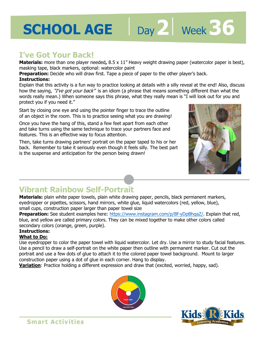### **I've Got Your Back!**

**Materials:** more than one player needed**,** 8.5 x 11" Heavy weight drawing paper (watercolor paper is best), masking tape, black markers, optional: watercolor paint

masking tape, black markers, optional. watercolor pantt<br>**Preparation:** Decide who will draw first. Tape a piece of paper to the other player's back.<br>**Instructions:**<br>Explain that this activity is a fun way to practice looki Preparation: Decide who will draw first. Tape a piece of paper to the other player's back. **Instructions:** 

how the saying, "I've got your back" is an idiom (a phrase that means something different than what the words really mean.) When someone says this phrase, what they really mean is "I will look out for you and protect you if you need it."

Start by closing one eye and using the pointer finger to trace the outline of an object in the room. This is to practice seeing what you are drawing!

Once you have the hang of this, stand a few feet apart from each other and take turns using the same technique to trace your partners face and features. This is an effective way to focus attention.

Then, take turns drawing partners' portrait on the paper taped to his or her back. Remember to take it seriously even though it feels silly. The best part is the suspense and anticipation for the person being drawn!



Day 2 | Week 36

## **Vibrant Rainbow Self-Portrait**

**Materials:** plain white paper towels, plain white drawing paper, pencils, black permanent markers, eyedropper or pipettes, scissors, hand mirrors, white glue, liquid watercolors (red, yellow, blue), small cups, construction paper larger than paper towel size

**Preparation:** See student examples here: https://www.instagram.com/p/Bf-yDpBhqaZ/. Explain that red, blue, and yellow are called primary colors. They can be mixed together to make other colors called secondary colors (orange, green, purple).

#### **Instructions: What to Do:**

Use eyedropper to color the paper towel with liquid watercolor. Let dry. Use a mirror to study facial features. Use a pencil to draw a self-portrait on the white paper then outline with permanent marker. Cut out the portrait and use a few dots of glue to attach it to the colored paper towel background. Mount to larger construction paper using a dot of glue in each corner. Hang to display.

**Variation**: Practice holding a different expression and draw that (excited, worried, happy, sad).





**Smart Activities**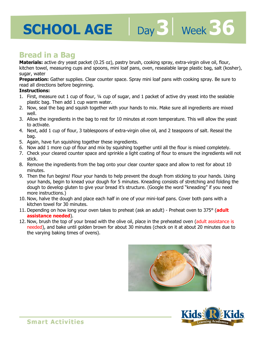# **SCHOOL AGE** Day 3 | Week 36

### **Bread in a Bag**

Materials: active dry yeast packet (0.25 oz), pastry brush, cooking spray, extra-virgin olive oil, flour, kitchen towel, measuring cups and spoons, mini loaf pans, oven, resealable large plastic bag, salt (kosher), sugar, water

sealable large plastic bag, sait (K)<br>f pans with cooking spray. Be sure **Preparation:** Gather supplies. Clear counter space. Spray mini loaf pans with cooking spray. Be sure to read all directions before beginning.

#### **Instructions:**

- 1. First, measure out 1 cup of flour, ¼ cup of sugar, and 1 packet of active dry yeast into the sealable plastic bag. Then add 1 cup warm water.
- 2. Now, seal the bag and squish together with your hands to mix. Make sure all ingredients are mixed well.
- 3. Allow the ingredients in the bag to rest for 10 minutes at room temperature. This will allow the yeast to activate.
- 4. Next, add 1 cup of flour, 3 tablespoons of extra-virgin olive oil, and 2 teaspoons of salt. Reseal the bag.
- 5. Again, have fun squishing together these ingredients.
- 6. Now add 1 more cup of flour and mix by squishing together until all the flour is mixed completely.
- 7. Check your cleared counter space and sprinkle a light coating of flour to ensure the ingredients will not stick.
- 8. Remove the ingredients from the bag onto your clear counter space and allow to rest for about 10 minutes.
- 9. Then the fun begins! Flour your hands to help prevent the dough from sticking to your hands. Using your hands, begin to knead your dough for 5 minutes. Kneading consists of stretching and folding the dough to develop gluten to give your bread it's structure. (Google the word "kneading" if you need more instructions.)
- 10. Now, halve the dough and place each half in one of your mini-loaf pans. Cover both pans with a kitchen towel for 30 minutes.
- 11. Depending on how long your oven takes to preheat (ask an adult) Preheat oven to 375° (**adult assistance needed**).
- 12. Now, brush the top of your bread with the olive oil, place in the preheated oven (adult assistance is needed), and bake until golden brown for about 30 minutes (check on it at about 20 minutes due to the varying baking times of ovens).



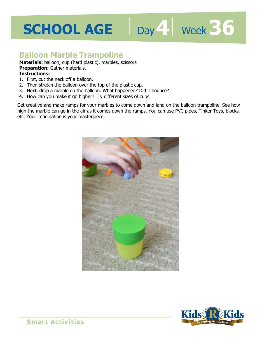### **Balloon Marble Trampoline**

#### **Materials:** balloon, cup (hard plastic), marbles, scissors

**Preparation:** Gather materials.

#### **Instructions:**

- 1. First, cut the neck off a balloon.
- 2. Then stretch the balloon over the top of the plastic cup.
- 3. Next, drop a marble on the balloon. What happened? Did it bounce?
- 4. How can you make it go higher? Try different sizes of cups.

Get creative and make ramps for your marbles to come down and land on the balloon trampoline. See how high the marble can go in the air as it comes down the ramps. You can use PVC pipes, Tinker Toys, blocks, etc. Your imagination is your masterpiece.

Day 4 Week 36



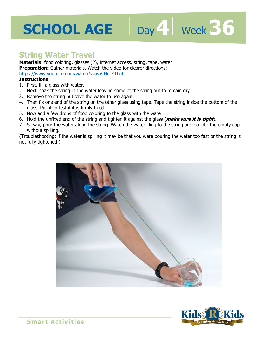# **5CHOOL AGE** Day Week 36

### **String Water Travel**

**1 4 Materials:** food coloring, glasses (2), internet access, string, tape, water **Preparation:** Gather materials. Watch the video for clearer directions: https://www.youtube.com/watch?v=wVtHot74ToI

#### **Instructions:**

- 1. First, fill a glass with water.
- 2. Next, soak the string in the water leaving some of the string out to remain dry.
- 3. Remove the string but save the water to use again.
- 4. Then fix one end of the string on the other glass using tape. Tape the string inside the bottom of the glass. Pull it to test if it is firmly fixed.
- 5. Now add a few drops of food coloring to the glass with the water.
- 6. Hold the unfixed end of the string and tighten it against the glass (**make sure it is tight**).
- 7. Slowly, pour the water along the string. Watch the water cling to the string and go into the empty cup without spilling.

(Troubleshooting: if the water is spilling it may be that you were pouring the water too fast or the string is not fully tightened.)